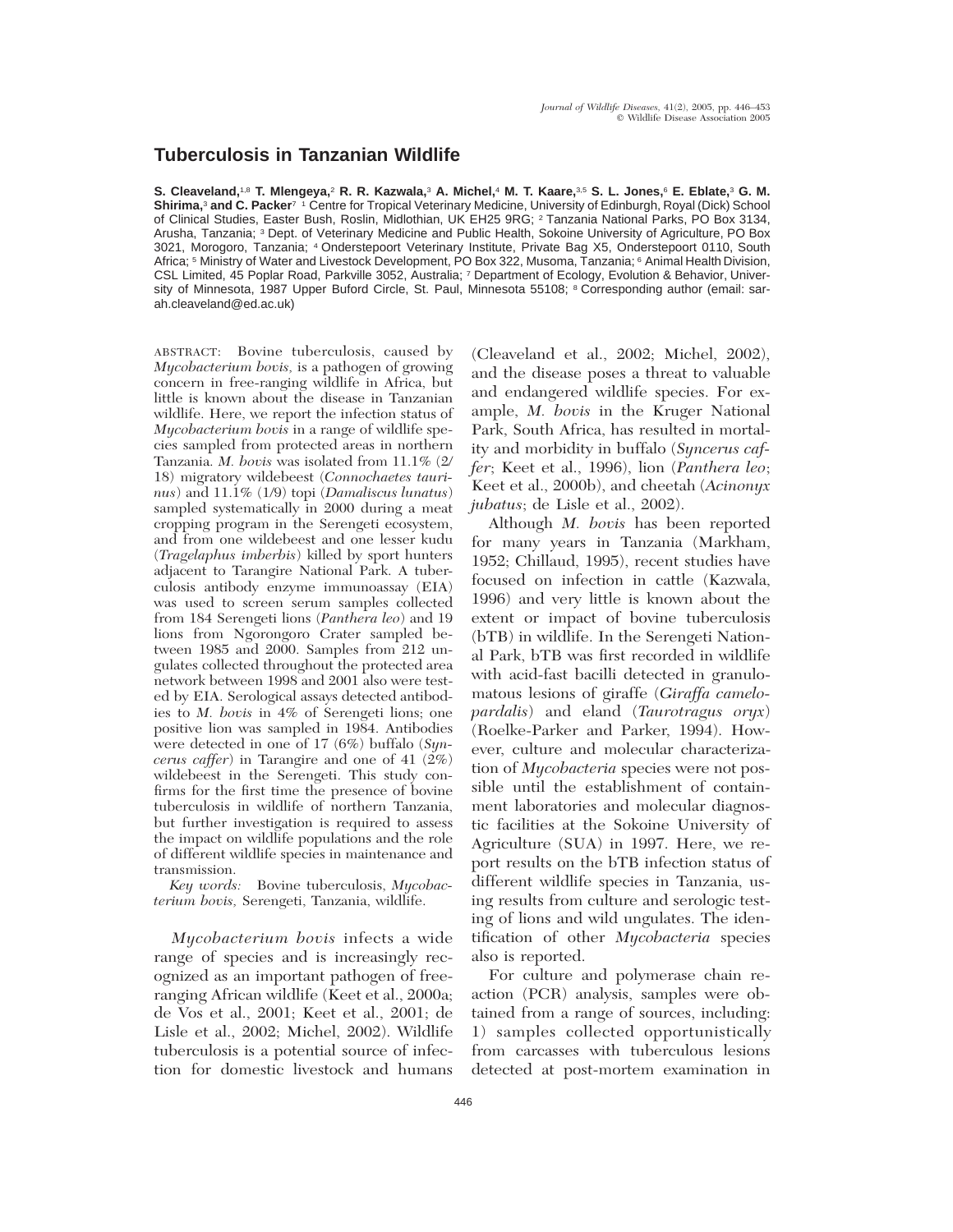## **Tuberculosis in Tanzanian Wildlife**

**S. Cleaveland,**1,8 **T. Mlengeya,**<sup>2</sup> **R. R. Kazwala,**<sup>3</sup> **A. Michel,**<sup>4</sup> **M. T. Kaare,**3,5 **S. L. Jones,**<sup>6</sup> **E. Eblate,**<sup>3</sup> **G. M. Shirima,**<sup>3</sup> **and C. Packer**7 1 Centre for Tropical Veterinary Medicine, University of Edinburgh, Royal (Dick) School of Clinical Studies, Easter Bush, Roslin, Midlothian, UK EH25 9RG; <sup>2</sup> Tanzania National Parks, PO Box 3134, Arusha, Tanzania; <sup>3</sup> Dept. of Veterinary Medicine and Public Health, Sokoine University of Agriculture, PO Box 3021, Morogoro, Tanzania; <sup>4</sup> Onderstepoort Veterinary Institute, Private Bag X5, Onderstepoort 0110, South Africa; <sup>5</sup> Ministry of Water and Livestock Development, PO Box 322, Musoma, Tanzania; <sup>6</sup> Animal Health Division, CSL Limited, 45 Poplar Road, Parkville 3052, Australia; <sup>7</sup> Department of Ecology, Evolution & Behavior, University of Minnesota, 1987 Upper Buford Circle, St. Paul, Minnesota 55108; <sup>8</sup> Corresponding author (email: sarah.cleaveland@ed.ac.uk)

ABSTRACT: Bovine tuberculosis, caused by *Mycobacterium bovis,* is a pathogen of growing concern in free-ranging wildlife in Africa, but little is known about the disease in Tanzanian wildlife. Here, we report the infection status of *Mycobacterium bovis* in a range of wildlife species sampled from protected areas in northern Tanzania. *M. bovis* was isolated from 11.1% (2/ 18) migratory wildebeest (*Connochaetes taurinus*) and 11.1% (1/9) topi (*Damaliscus lunatus*) sampled systematically in 2000 during a meat cropping program in the Serengeti ecosystem, and from one wildebeest and one lesser kudu (*Tragelaphus imberbis*) killed by sport hunters adjacent to Tarangire National Park. A tuberculosis antibody enzyme immunoassay (EIA) was used to screen serum samples collected from 184 Serengeti lions (*Panthera leo*) and 19 lions from Ngorongoro Crater sampled between 1985 and 2000. Samples from 212 ungulates collected throughout the protected area network between 1998 and 2001 also were tested by EIA. Serological assays detected antibodies to *M. bovis* in 4% of Serengeti lions; one positive lion was sampled in 1984. Antibodies were detected in one of 17 (6%) buffalo (*Syncerus caffer*) in Tarangire and one of 41  $(2\%)$ wildebeest in the Serengeti. This study confirms for the first time the presence of bovine tuberculosis in wildlife of northern Tanzania, but further investigation is required to assess the impact on wildlife populations and the role of different wildlife species in maintenance and transmission.

*Key words:* Bovine tuberculosis, *Mycobacterium bovis,* Serengeti, Tanzania, wildlife.

*Mycobacterium bovis* infects a wide range of species and is increasingly recognized as an important pathogen of freeranging African wildlife (Keet et al., 2000a; de Vos et al., 2001; Keet et al., 2001; de Lisle et al., 2002; Michel, 2002). Wildlife tuberculosis is a potential source of infection for domestic livestock and humans

(Cleaveland et al., 2002; Michel, 2002), and the disease poses a threat to valuable and endangered wildlife species. For example, *M. bovis* in the Kruger National Park, South Africa, has resulted in mortality and morbidity in buffalo (*Syncerus caffer*; Keet et al., 1996), lion (*Panthera leo*; Keet et al., 2000b), and cheetah (*Acinonyx jubatus*; de Lisle et al., 2002).

Although *M. bovis* has been reported for many years in Tanzania (Markham, 1952; Chillaud, 1995), recent studies have focused on infection in cattle (Kazwala, 1996) and very little is known about the extent or impact of bovine tuberculosis (bTB) in wildlife. In the Serengeti National Park, bTB was first recorded in wildlife with acid-fast bacilli detected in granulomatous lesions of giraffe (*Giraffa camelopardalis*) and eland (*Taurotragus oryx*) (Roelke-Parker and Parker, 1994). However, culture and molecular characterization of *Mycobacteria* species were not possible until the establishment of containment laboratories and molecular diagnostic facilities at the Sokoine University of Agriculture (SUA) in 1997. Here, we report results on the bTB infection status of different wildlife species in Tanzania, using results from culture and serologic testing of lions and wild ungulates. The identification of other *Mycobacteria* species also is reported.

For culture and polymerase chain reaction (PCR) analysis, samples were obtained from a range of sources, including: 1) samples collected opportunistically from carcasses with tuberculous lesions detected at post-mortem examination in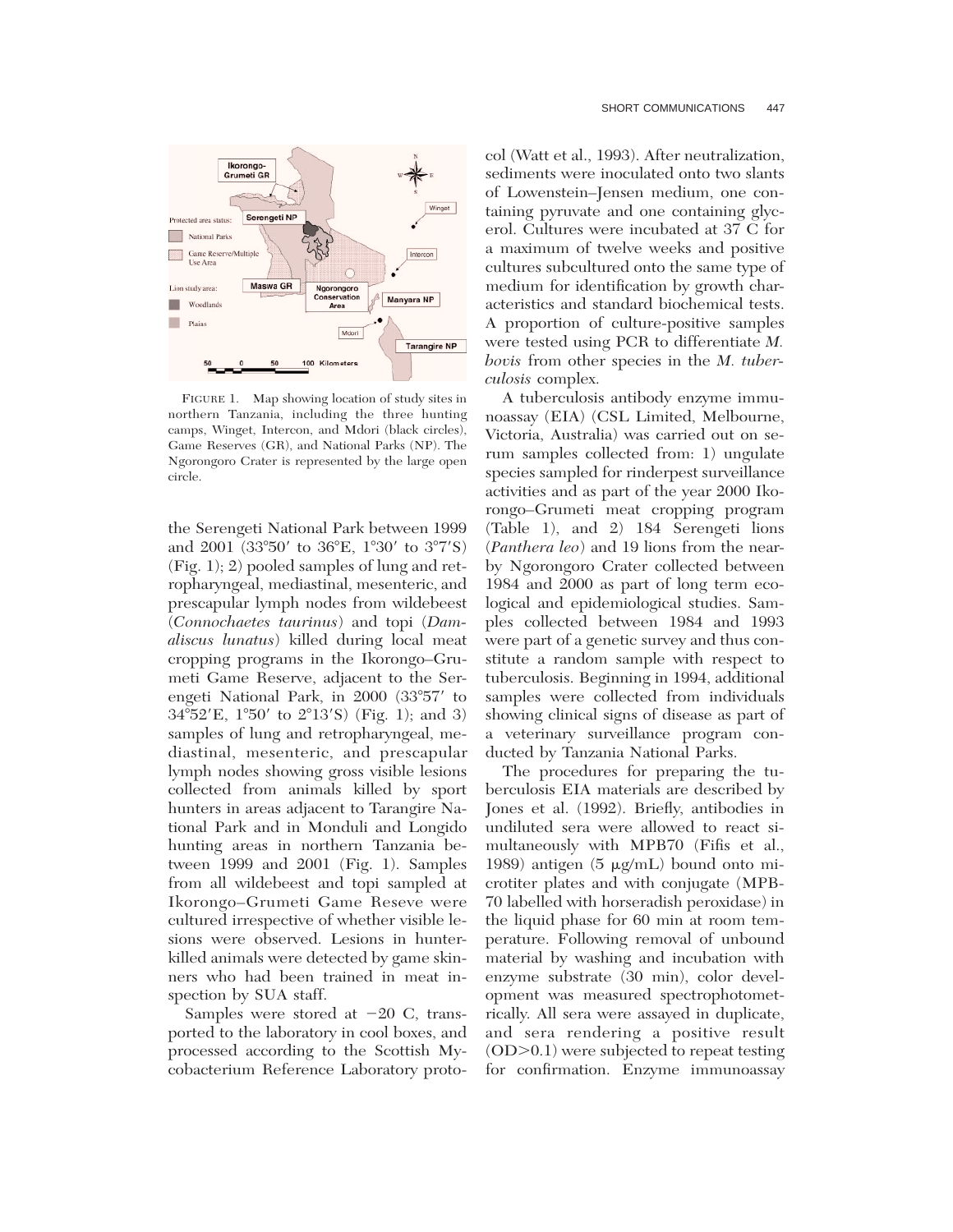

FIGURE 1. Map showing location of study sites in northern Tanzania, including the three hunting camps, Winget, Intercon, and Mdori (black circles), Game Reserves (GR), and National Parks (NP). The Ngorongoro Crater is represented by the large open circle.

the Serengeti National Park between 1999 and 2001 (33°50' to 36°E, 1°30' to 3°7'S) (Fig. 1); 2) pooled samples of lung and retropharyngeal, mediastinal, mesenteric, and prescapular lymph nodes from wildebeest (*Connochaetes taurinus*) and topi (*Damaliscus lunatus*) killed during local meat cropping programs in the Ikorongo–Grumeti Game Reserve, adjacent to the Serengeti National Park, in  $2000$   $(33°57'$  to  $34^{\circ}52'E$ ,  $1^{\circ}50'$  to  $2^{\circ}13'S$ ) (Fig. 1); and 3) samples of lung and retropharyngeal, mediastinal, mesenteric, and prescapular lymph nodes showing gross visible lesions collected from animals killed by sport hunters in areas adjacent to Tarangire National Park and in Monduli and Longido hunting areas in northern Tanzania between 1999 and 2001 (Fig. 1). Samples from all wildebeest and topi sampled at Ikorongo–Grumeti Game Reseve were cultured irrespective of whether visible lesions were observed. Lesions in hunterkilled animals were detected by game skinners who had been trained in meat inspection by SUA staff.

Samples were stored at  $-20$  C, transported to the laboratory in cool boxes, and processed according to the Scottish Mycobacterium Reference Laboratory proto-

col (Watt et al., 1993). After neutralization, sediments were inoculated onto two slants of Lowenstein–Jensen medium, one containing pyruvate and one containing glycerol. Cultures were incubated at 37 C for a maximum of twelve weeks and positive cultures subcultured onto the same type of medium for identification by growth characteristics and standard biochemical tests. A proportion of culture-positive samples were tested using PCR to differentiate *M. bovis* from other species in the *M. tuberculosis* complex.

A tuberculosis antibody enzyme immunoassay (EIA) (CSL Limited, Melbourne, Victoria, Australia) was carried out on serum samples collected from: 1) ungulate species sampled for rinderpest surveillance activities and as part of the year 2000 Ikorongo–Grumeti meat cropping program (Table 1), and 2) 184 Serengeti lions (*Panthera leo*) and 19 lions from the nearby Ngorongoro Crater collected between 1984 and 2000 as part of long term ecological and epidemiological studies. Samples collected between 1984 and 1993 were part of a genetic survey and thus constitute a random sample with respect to tuberculosis. Beginning in 1994, additional samples were collected from individuals showing clinical signs of disease as part of a veterinary surveillance program conducted by Tanzania National Parks.

The procedures for preparing the tuberculosis EIA materials are described by Jones et al. (1992). Briefly, antibodies in undiluted sera were allowed to react simultaneously with MPB70 (Fifis et al., 1989) antigen (5  $\mu$ g/mL) bound onto microtiter plates and with conjugate (MPB-70 labelled with horseradish peroxidase) in the liquid phase for 60 min at room temperature. Following removal of unbound material by washing and incubation with enzyme substrate (30 min), color development was measured spectrophotometrically. All sera were assayed in duplicate, and sera rendering a positive result  $(OD > 0.1)$  were subjected to repeat testing for confirmation. Enzyme immunoassay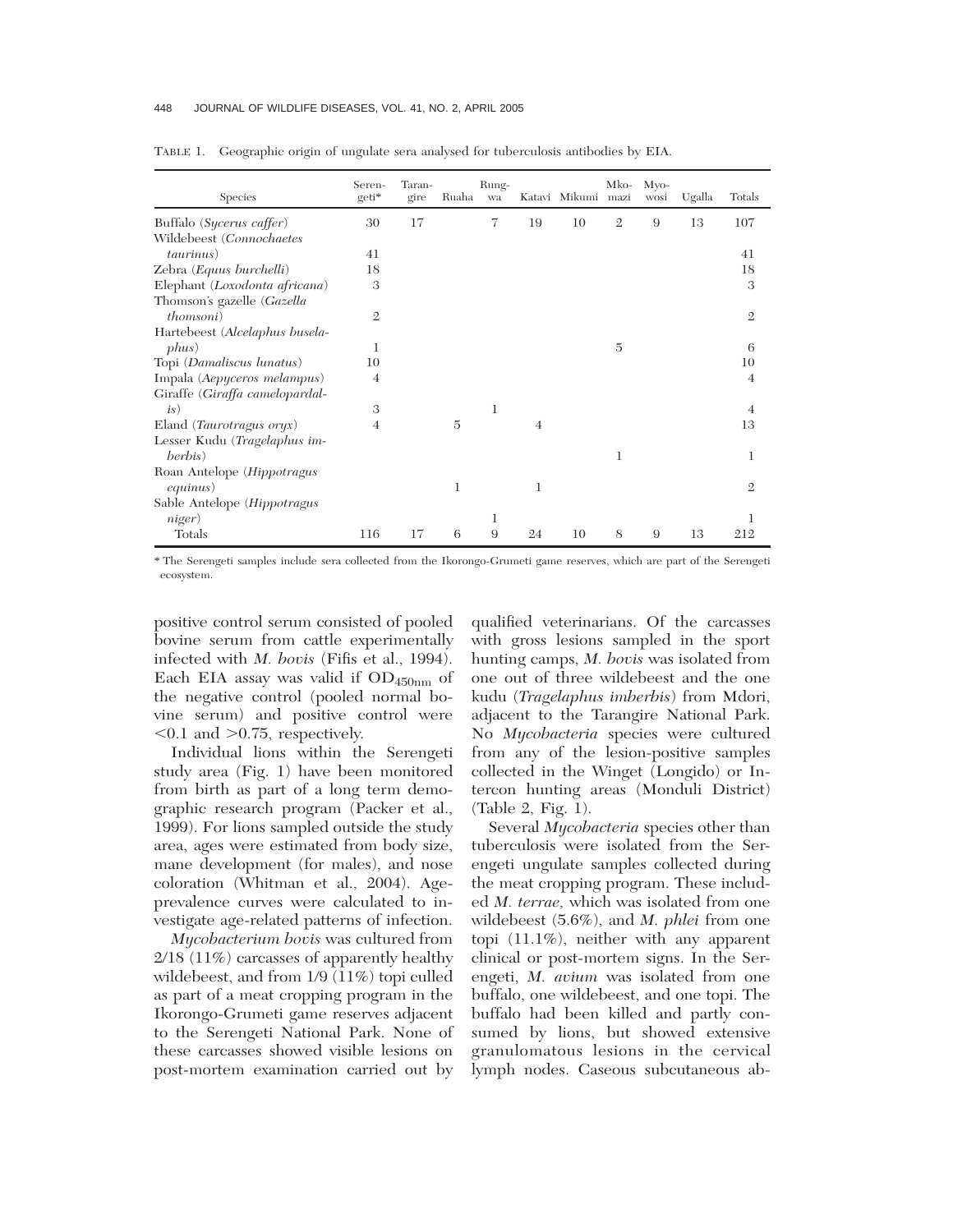## 448 JOURNAL OF WILDLIFE DISEASES, VOL. 41, NO. 2, APRIL 2005

| Species                           | Seren-<br>geti* | Taran-<br>gire | Ruaha | Rung-<br>wa |                | Katavi Mikumi mazi | Mko-           | M <sub>VO</sub><br>wosi | Ugalla | Totals         |
|-----------------------------------|-----------------|----------------|-------|-------------|----------------|--------------------|----------------|-------------------------|--------|----------------|
| Buffalo (Sycerus caffer)          | 30              | 17             |       | 7           | 19             | 10                 | $\mathfrak{2}$ | 9                       | 13     | 107            |
| Wildebeest (Connochaetes          |                 |                |       |             |                |                    |                |                         |        |                |
| <i>taurinus</i> )                 | 41              |                |       |             |                |                    |                |                         |        | 41             |
| Zebra (Equus burchelli)           | 18              |                |       |             |                |                    |                |                         |        | 18             |
| Elephant (Loxodonta africana)     | 3               |                |       |             |                |                    |                |                         |        | 3              |
| Thomson's gazelle (Gazella        |                 |                |       |             |                |                    |                |                         |        |                |
| <i>thomsoni</i> )                 | $\mathbf{2}$    |                |       |             |                |                    |                |                         |        | $\mathfrak{2}$ |
| Hartebeest (Alcelaphus busela-    |                 |                |       |             |                |                    |                |                         |        |                |
| phus)                             | 1               |                |       |             |                |                    | 5              |                         |        | 6              |
| Topi (Damaliscus lunatus)         | 10              |                |       |             |                |                    |                |                         |        | 10             |
| Impala (Aepyceros melampus)       | $\overline{4}$  |                |       |             |                |                    |                |                         |        | $\overline{4}$ |
| Giraffe (Giraffa camelopardal-    |                 |                |       |             |                |                    |                |                         |        |                |
| is)                               | 3               |                |       | 1           |                |                    |                |                         |        | 4              |
| Eland ( <i>Taurotragus oryx</i> ) | 4               |                | 5     |             | $\overline{4}$ |                    |                |                         |        | 13             |
| Lesser Kudu (Tragelaphus im-      |                 |                |       |             |                |                    |                |                         |        |                |
| berbis)                           |                 |                |       |             |                |                    | 1              |                         |        | 1              |
| Roan Antelope (Hippotragus        |                 |                |       |             |                |                    |                |                         |        |                |
| <i>equinus</i> )                  |                 |                | 1     |             | 1              |                    |                |                         |        | $\mathfrak{2}$ |
| Sable Antelope (Hippotragus       |                 |                |       |             |                |                    |                |                         |        |                |
| niger)                            |                 |                |       | 1           |                |                    |                |                         |        |                |
| Totals                            | 116             | 17             | 6     | 9           | 24             | 10                 | 8              | 9                       | 13     | 212            |

TABLE 1. Geographic origin of ungulate sera analysed for tuberculosis antibodies by EIA.

\* The Serengeti samples include sera collected from the Ikorongo-Grumeti game reserves, which are part of the Serengeti ecosystem.

positive control serum consisted of pooled bovine serum from cattle experimentally infected with *M. bovis* (Fifis et al., 1994). Each EIA assay was valid if  $OD_{450nm}$  of the negative control (pooled normal bovine serum) and positive control were  $< 0.1$  and  $> 0.75$ , respectively.

Individual lions within the Serengeti study area (Fig. 1) have been monitored from birth as part of a long term demographic research program (Packer et al., 1999). For lions sampled outside the study area, ages were estimated from body size, mane development (for males), and nose coloration (Whitman et al., 2004). Ageprevalence curves were calculated to investigate age-related patterns of infection.

*Mycobacterium bovis* was cultured from 2/18 (11%) carcasses of apparently healthy wildebeest, and from 1/9 (11%) topi culled as part of a meat cropping program in the Ikorongo-Grumeti game reserves adjacent to the Serengeti National Park. None of these carcasses showed visible lesions on post-mortem examination carried out by qualified veterinarians. Of the carcasses with gross lesions sampled in the sport hunting camps, *M. bovis* was isolated from one out of three wildebeest and the one kudu (*Tragelaphus imberbis*) from Mdori, adjacent to the Tarangire National Park. No *Mycobacteria* species were cultured from any of the lesion-positive samples collected in the Winget (Longido) or Intercon hunting areas (Monduli District) (Table 2, Fig. 1).

Several *Mycobacteria* species other than tuberculosis were isolated from the Serengeti ungulate samples collected during the meat cropping program. These included *M. terrae,* which was isolated from one wildebeest (5.6%), and *M. phlei* from one topi (11.1%), neither with any apparent clinical or post-mortem signs. In the Serengeti, *M. avium* was isolated from one buffalo, one wildebeest, and one topi. The buffalo had been killed and partly consumed by lions, but showed extensive granulomatous lesions in the cervical lymph nodes. Caseous subcutaneous ab-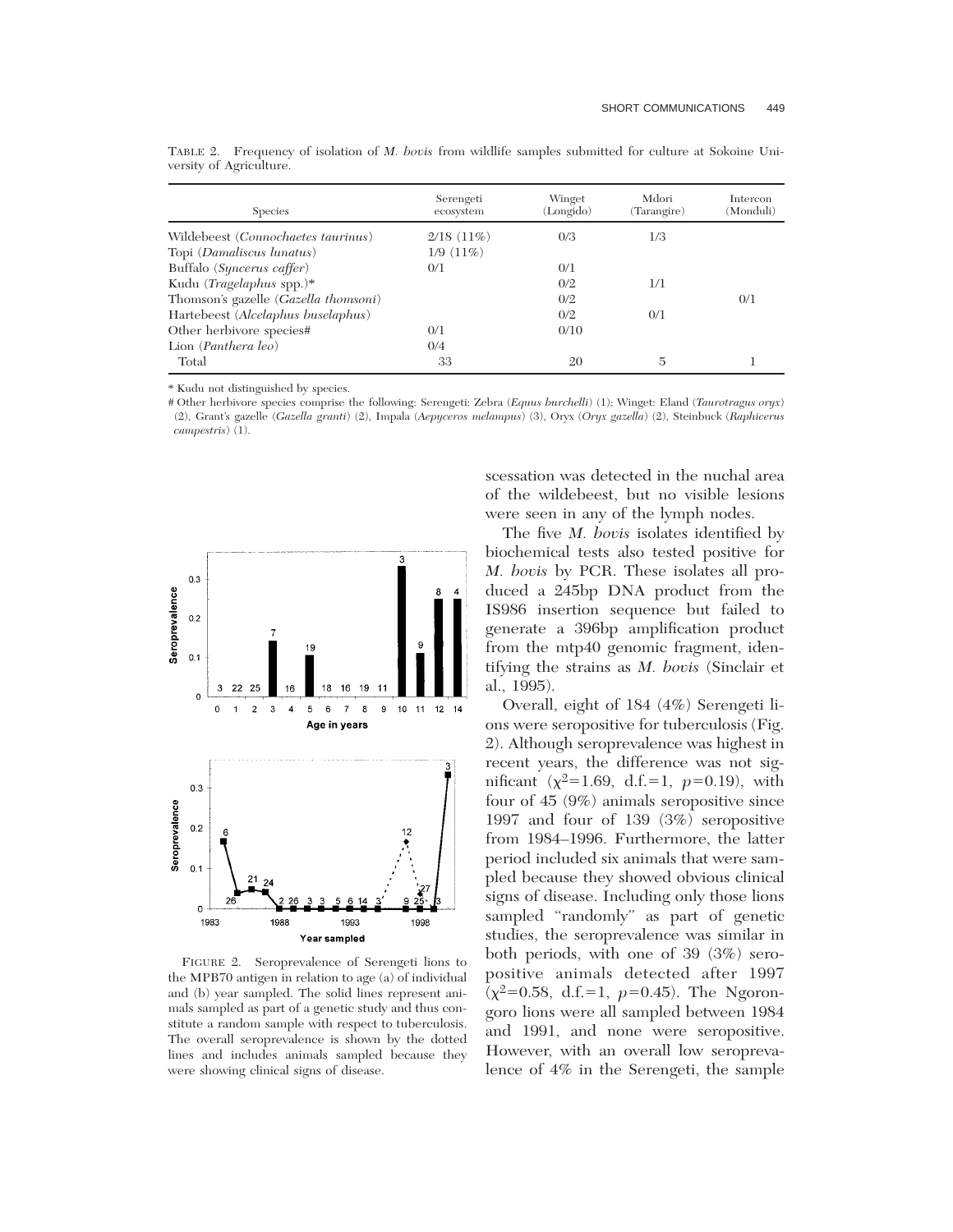| <b>Species</b>                       | Serengeti<br>ecosystem | Winget<br>(Longido) | Mdori<br>(Tarangire) | Intercon<br>(Monduli) |
|--------------------------------------|------------------------|---------------------|----------------------|-----------------------|
| Wildebeest (Connochaetes taurinus)   | $2/18(11\%)$           | 0/3                 | 1/3                  |                       |
| Topi (Damaliscus lunatus)            | 1/9(11%)               |                     |                      |                       |
| Buffalo (Syncerus caffer)            | 0/1                    | 0/1                 |                      |                       |
| Kudu (Tragelaphus spp.)*             |                        | 0/2                 | 1/1                  |                       |
| Thomson's gazelle (Gazella thomsoni) |                        | 0/2                 |                      | 0/1                   |
| Hartebeest (Alcelaphus buselaphus)   |                        | 0/2                 | 0/1                  |                       |
| Other herbivore species#             | 0/1                    | 0/10                |                      |                       |
| Lion (Panthera leo)                  | 0/4                    |                     |                      |                       |
| Total                                | 33                     | 20                  | 5                    |                       |

TABLE 2. Frequency of isolation of *M. bovis* from wildlife samples submitted for culture at Sokoine University of Agriculture.

\* Kudu not distinguished by species.

# Other herbivore species comprise the following: Serengeti: Zebra (*Equus burchelli*) (1); Winget: Eland (*Taurotragus oryx*) (2), Grant's gazelle (*Gazella granti*) (2), Impala (*Aepyceros melampus*) (3), Oryx (*Oryx gazella*) (2), Steinbuck (*Raphicerus campestris*) (1).



FIGURE 2. Seroprevalence of Serengeti lions to the MPB70 antigen in relation to age (a) of individual and (b) year sampled. The solid lines represent animals sampled as part of a genetic study and thus constitute a random sample with respect to tuberculosis. The overall seroprevalence is shown by the dotted lines and includes animals sampled because they were showing clinical signs of disease.

scessation was detected in the nuchal area of the wildebeest, but no visible lesions were seen in any of the lymph nodes.

The five *M. bovis* isolates identified by biochemical tests also tested positive for *M. bovis* by PCR. These isolates all produced a 245bp DNA product from the IS986 insertion sequence but failed to generate a 396bp amplification product from the mtp40 genomic fragment, identifying the strains as *M. bovis* (Sinclair et al., 1995).

Overall, eight of 184 (4%) Serengeti lions were seropositive for tuberculosis (Fig. 2). Although seroprevalence was highest in recent years, the difference was not significant  $(\chi^2=1.69, d.f.=1, p=0.19)$ , with four of 45 (9%) animals seropositive since 1997 and four of 139 (3%) seropositive from 1984–1996. Furthermore, the latter period included six animals that were sampled because they showed obvious clinical signs of disease. Including only those lions sampled "randomly" as part of genetic studies, the seroprevalence was similar in both periods, with one of 39 (3%) seropositive animals detected after 1997  $\bar{(\chi^2=0.58, d.f.=1, p=0.45)}$ . The Ngorongoro lions were all sampled between 1984 and 1991, and none were seropositive. However, with an overall low seroprevalence of 4% in the Serengeti, the sample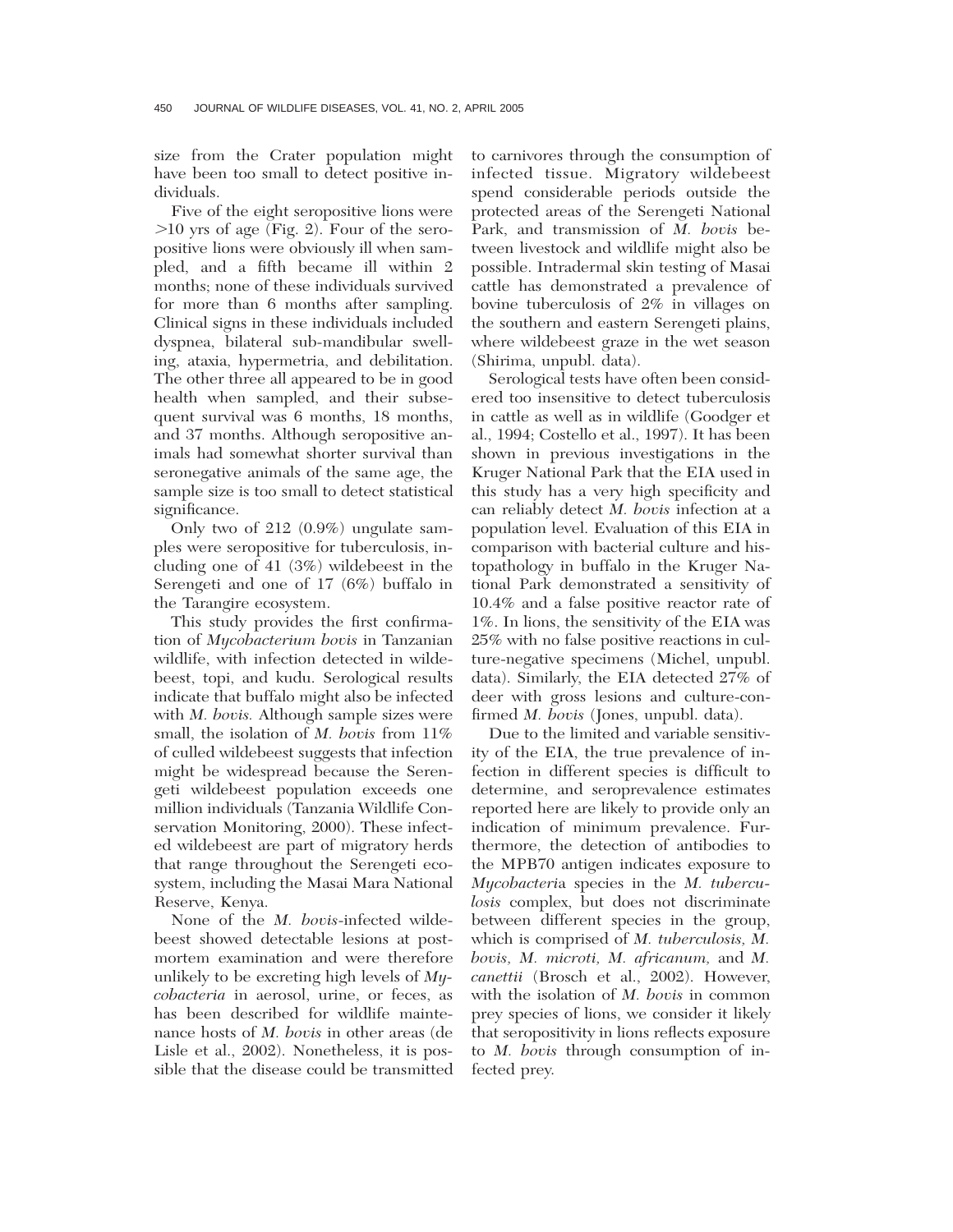size from the Crater population might have been too small to detect positive individuals.

Five of the eight seropositive lions were  $>10$  yrs of age (Fig. 2). Four of the seropositive lions were obviously ill when sampled, and a fifth became ill within 2 months; none of these individuals survived for more than 6 months after sampling. Clinical signs in these individuals included dyspnea, bilateral sub-mandibular swelling, ataxia, hypermetria, and debilitation. The other three all appeared to be in good health when sampled, and their subsequent survival was 6 months, 18 months, and 37 months. Although seropositive animals had somewhat shorter survival than seronegative animals of the same age, the sample size is too small to detect statistical significance.

Only two of 212 (0.9%) ungulate samples were seropositive for tuberculosis, including one of 41 (3%) wildebeest in the Serengeti and one of 17 (6%) buffalo in the Tarangire ecosystem.

This study provides the first confirmation of *Mycobacterium bovis* in Tanzanian wildlife, with infection detected in wildebeest, topi, and kudu. Serological results indicate that buffalo might also be infected with *M. bovis.* Although sample sizes were small, the isolation of *M. bovis* from 11% of culled wildebeest suggests that infection might be widespread because the Serengeti wildebeest population exceeds one million individuals (Tanzania Wildlife Conservation Monitoring, 2000). These infected wildebeest are part of migratory herds that range throughout the Serengeti ecosystem, including the Masai Mara National Reserve, Kenya.

None of the *M. bovis*-infected wildebeest showed detectable lesions at postmortem examination and were therefore unlikely to be excreting high levels of *Mycobacteria* in aerosol, urine, or feces, as has been described for wildlife maintenance hosts of *M. bovis* in other areas (de Lisle et al., 2002). Nonetheless, it is possible that the disease could be transmitted

to carnivores through the consumption of infected tissue. Migratory wildebeest spend considerable periods outside the protected areas of the Serengeti National Park, and transmission of *M. bovis* between livestock and wildlife might also be possible. Intradermal skin testing of Masai cattle has demonstrated a prevalence of bovine tuberculosis of 2% in villages on the southern and eastern Serengeti plains, where wildebeest graze in the wet season (Shirima, unpubl. data).

Serological tests have often been considered too insensitive to detect tuberculosis in cattle as well as in wildlife (Goodger et al., 1994; Costello et al., 1997). It has been shown in previous investigations in the Kruger National Park that the EIA used in this study has a very high specificity and can reliably detect *M. bovis* infection at a population level. Evaluation of this EIA in comparison with bacterial culture and histopathology in buffalo in the Kruger National Park demonstrated a sensitivity of 10.4% and a false positive reactor rate of 1%. In lions, the sensitivity of the EIA was 25% with no false positive reactions in culture-negative specimens (Michel, unpubl. data). Similarly, the EIA detected 27% of deer with gross lesions and culture-confirmed *M. bovis* (Jones, unpubl. data).

Due to the limited and variable sensitivity of the EIA, the true prevalence of infection in different species is difficult to determine, and seroprevalence estimates reported here are likely to provide only an indication of minimum prevalence. Furthermore, the detection of antibodies to the MPB70 antigen indicates exposure to *Mycobacteri*a species in the *M. tuberculosis* complex, but does not discriminate between different species in the group, which is comprised of *M. tuberculosis, M. bovis, M. microti, M. africanum,* and *M. canettii* (Brosch et al., 2002). However, with the isolation of *M. bovis* in common prey species of lions, we consider it likely that seropositivity in lions reflects exposure to *M. bovis* through consumption of infected prey.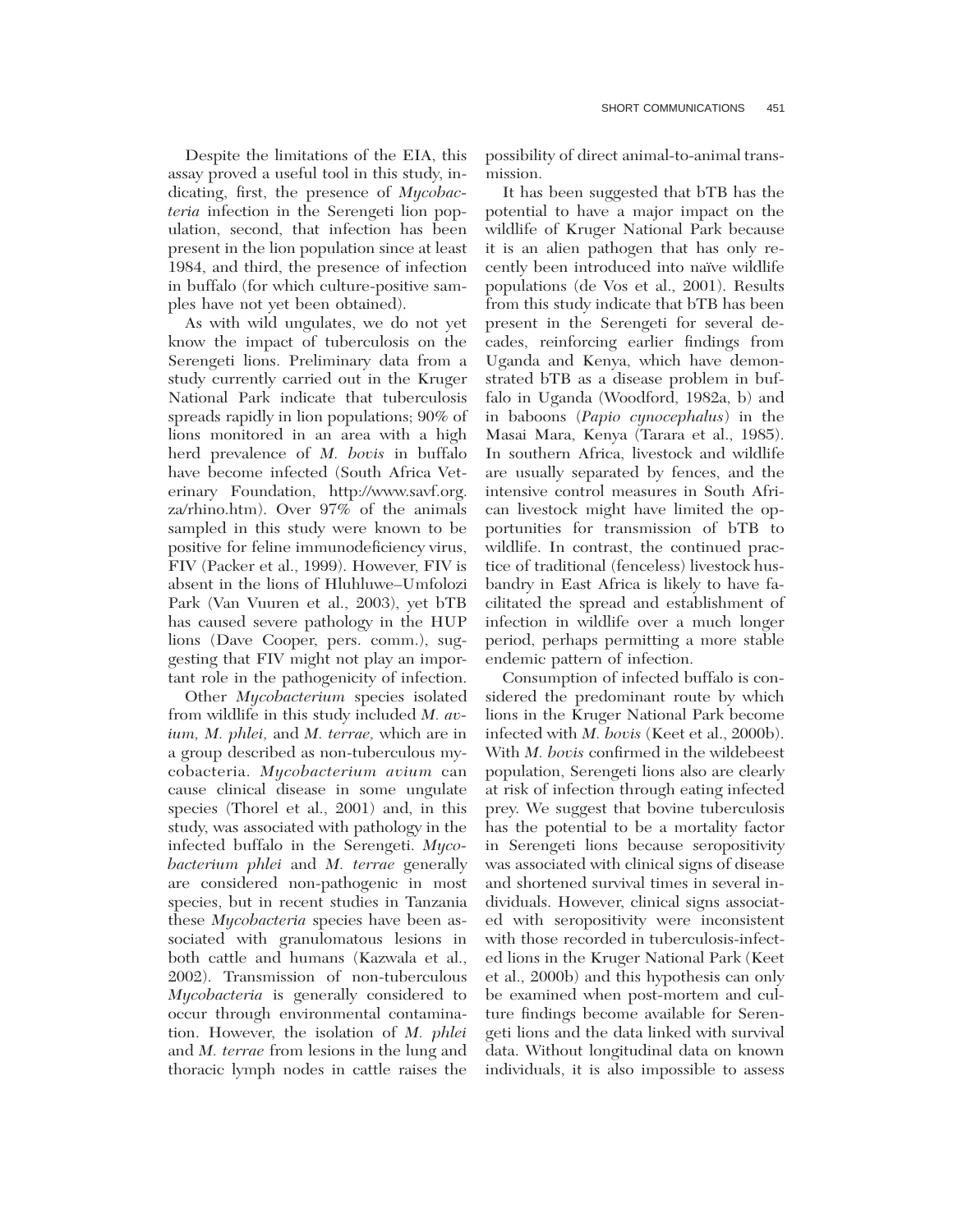Despite the limitations of the EIA, this assay proved a useful tool in this study, indicating, first, the presence of *Mycobacteria* infection in the Serengeti lion population, second, that infection has been present in the lion population since at least 1984, and third, the presence of infection in buffalo (for which culture-positive samples have not yet been obtained).

As with wild ungulates, we do not yet know the impact of tuberculosis on the Serengeti lions. Preliminary data from a study currently carried out in the Kruger National Park indicate that tuberculosis spreads rapidly in lion populations; 90% of lions monitored in an area with a high herd prevalence of *M. bovis* in buffalo have become infected (South Africa Veterinary Foundation, http://www.savf.org. za/rhino.htm). Over 97% of the animals sampled in this study were known to be positive for feline immunodeficiency virus, FIV (Packer et al., 1999). However, FIV is absent in the lions of Hluhluwe–Umfolozi Park (Van Vuuren et al., 2003), yet bTB has caused severe pathology in the HUP lions (Dave Cooper, pers. comm.), suggesting that FIV might not play an important role in the pathogenicity of infection.

Other *Mycobacterium* species isolated from wildlife in this study included *M. avium, M. phlei,* and *M. terrae,* which are in a group described as non-tuberculous mycobacteria. *Mycobacterium avium* can cause clinical disease in some ungulate species (Thorel et al., 2001) and, in this study, was associated with pathology in the infected buffalo in the Serengeti. *Mycobacterium phlei* and *M. terrae* generally are considered non-pathogenic in most species, but in recent studies in Tanzania these *Mycobacteria* species have been associated with granulomatous lesions in both cattle and humans (Kazwala et al., 2002). Transmission of non-tuberculous *Mycobacteria* is generally considered to occur through environmental contamination. However, the isolation of *M. phlei* and *M. terrae* from lesions in the lung and thoracic lymph nodes in cattle raises the

possibility of direct animal-to-animal transmission.

It has been suggested that bTB has the potential to have a major impact on the wildlife of Kruger National Park because it is an alien pathogen that has only recently been introduced into naïve wildlife populations (de Vos et al., 2001). Results from this study indicate that bTB has been present in the Serengeti for several decades, reinforcing earlier findings from Uganda and Kenya, which have demonstrated bTB as a disease problem in buffalo in Uganda (Woodford, 1982a, b) and in baboons (*Papio cynocephalus*) in the Masai Mara, Kenya (Tarara et al., 1985). In southern Africa, livestock and wildlife are usually separated by fences, and the intensive control measures in South African livestock might have limited the opportunities for transmission of bTB to wildlife. In contrast, the continued practice of traditional (fenceless) livestock husbandry in East Africa is likely to have facilitated the spread and establishment of infection in wildlife over a much longer period, perhaps permitting a more stable endemic pattern of infection.

Consumption of infected buffalo is considered the predominant route by which lions in the Kruger National Park become infected with *M. bovis* (Keet et al., 2000b). With *M. bovis* confirmed in the wildebeest population, Serengeti lions also are clearly at risk of infection through eating infected prey. We suggest that bovine tuberculosis has the potential to be a mortality factor in Serengeti lions because seropositivity was associated with clinical signs of disease and shortened survival times in several individuals. However, clinical signs associated with seropositivity were inconsistent with those recorded in tuberculosis-infected lions in the Kruger National Park (Keet et al., 2000b) and this hypothesis can only be examined when post-mortem and culture findings become available for Serengeti lions and the data linked with survival data. Without longitudinal data on known individuals, it is also impossible to assess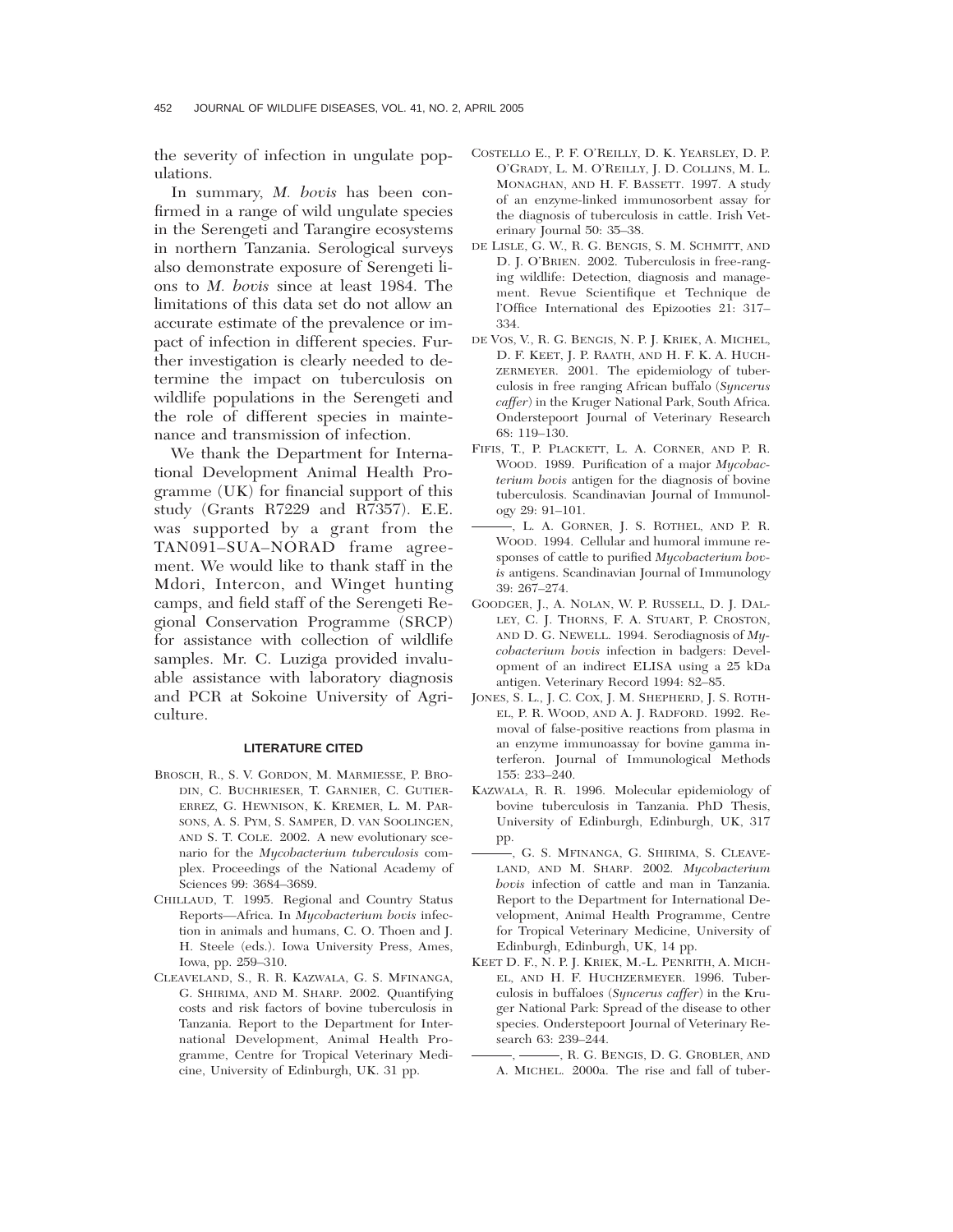the severity of infection in ungulate populations.

In summary, *M. bovis* has been confirmed in a range of wild ungulate species in the Serengeti and Tarangire ecosystems in northern Tanzania. Serological surveys also demonstrate exposure of Serengeti lions to *M. bovis* since at least 1984. The limitations of this data set do not allow an accurate estimate of the prevalence or impact of infection in different species. Further investigation is clearly needed to determine the impact on tuberculosis on wildlife populations in the Serengeti and the role of different species in maintenance and transmission of infection.

We thank the Department for International Development Animal Health Programme (UK) for financial support of this study (Grants R7229 and R7357). E.E. was supported by a grant from the TAN091–SUA–NORAD frame agreement. We would like to thank staff in the Mdori, Intercon, and Winget hunting camps, and field staff of the Serengeti Regional Conservation Programme (SRCP) for assistance with collection of wildlife samples. Mr. C. Luziga provided invaluable assistance with laboratory diagnosis and PCR at Sokoine University of Agriculture.

## **LITERATURE CITED**

- BROSCH, R., S. V. GORDON, M. MARMIESSE, P. BRO-DIN, C. BUCHRIESER, T. GARNIER, C. GUTIER-ERREZ, G. HEWNISON, K. KREMER, L. M. PAR-SONS, A. S. PYM, S. SAMPER, D. VAN SOOLINGEN, AND S. T. COLE. 2002. A new evolutionary scenario for the *Mycobacterium tuberculosis* complex. Proceedings of the National Academy of Sciences 99: 3684–3689.
- CHILLAUD, T. 1995. Regional and Country Status Reports—Africa. In *Mycobacterium bovis* infection in animals and humans, C. O. Thoen and J. H. Steele (eds.). Iowa University Press, Ames, Iowa, pp. 259–310.
- CLEAVELAND, S., R. R. KAZWALA, G. S. MFINANGA, G. SHIRIMA, AND M. SHARP. 2002. Quantifying costs and risk factors of bovine tuberculosis in Tanzania. Report to the Department for International Development, Animal Health Programme, Centre for Tropical Veterinary Medicine, University of Edinburgh, UK. 31 pp.
- COSTELLO E., P. F. O'REILLY, D. K. YEARSLEY, D. P. O'GRADY, L. M. O'REILLY, J. D. COLLINS, M. L. MONAGHAN, AND H. F. BASSETT. 1997. A study of an enzyme-linked immunosorbent assay for the diagnosis of tuberculosis in cattle. Irish Veterinary Journal 50: 35–38.
- DE LISLE, G. W., R. G. BENGIS, S. M. SCHMITT, AND D. J. O'BRIEN. 2002. Tuberculosis in free-ranging wildlife: Detection, diagnosis and management. Revue Scientifique et Technique de l'Office International des Epizooties 21: 317– 334.
- DE VOS, V., R. G. BENGIS, N. P. J. KRIEK, A. MICHEL, D. F. KEET, J. P. RAATH, AND H. F. K. A. HUCH-ZERMEYER. 2001. The epidemiology of tuberculosis in free ranging African buffalo (*Syncerus caffer*) in the Kruger National Park, South Africa. Onderstepoort Journal of Veterinary Research 68: 119–130.
- FIFIS, T., P. PLACKETT, L. A. CORNER, AND P. R. WOOD. 1989. Purification of a major *Mycobacterium bovis* antigen for the diagnosis of bovine tuberculosis. Scandinavian Journal of Immunology 29: 91–101.
- , L. A. GORNER, J. S. ROTHEL, AND P. R. WOOD. 1994. Cellular and humoral immune responses of cattle to purified *Mycobacterium bovis* antigens. Scandinavian Journal of Immunology 39: 267–274.
- GOODGER, J., A. NOLAN, W. P. RUSSELL, D. J. DAL-LEY, C. J. THORNS, F. A. STUART, P. CROSTON, AND D. G. NEWELL. 1994. Serodiagnosis of *Mycobacterium bovis* infection in badgers: Development of an indirect ELISA using a 25 kDa antigen. Veterinary Record 1994: 82–85.
- JONES, S. L., J. C. COX, J. M. SHEPHERD, J. S. ROTH-EL, P. R. WOOD, AND A. J. RADFORD. 1992. Removal of false-positive reactions from plasma in an enzyme immunoassay for bovine gamma interferon. Journal of Immunological Methods 155: 233–240.
- KAZWALA, R. R. 1996. Molecular epidemiology of bovine tuberculosis in Tanzania. PhD Thesis, University of Edinburgh, Edinburgh, UK, 317 pp.
- , G. S. MFINANGA, G. SHIRIMA, S. CLEAVE-LAND, AND M. SHARP. 2002. *Mycobacterium bovis* infection of cattle and man in Tanzania. Report to the Department for International Development, Animal Health Programme, Centre for Tropical Veterinary Medicine, University of Edinburgh, Edinburgh, UK, 14 pp.
- KEET D. F., N. P. J. KRIEK, M.-L. PENRITH, A. MICH-EL, AND H. F. HUCHZERMEYER. 1996. Tuberculosis in buffaloes (*Syncerus caffer*) in the Kruger National Park: Spread of the disease to other species. Onderstepoort Journal of Veterinary Research 63: 239–244.
	- , R. G. BENGIS, D. G. GROBLER, AND A. MICHEL. 2000a. The rise and fall of tuber-